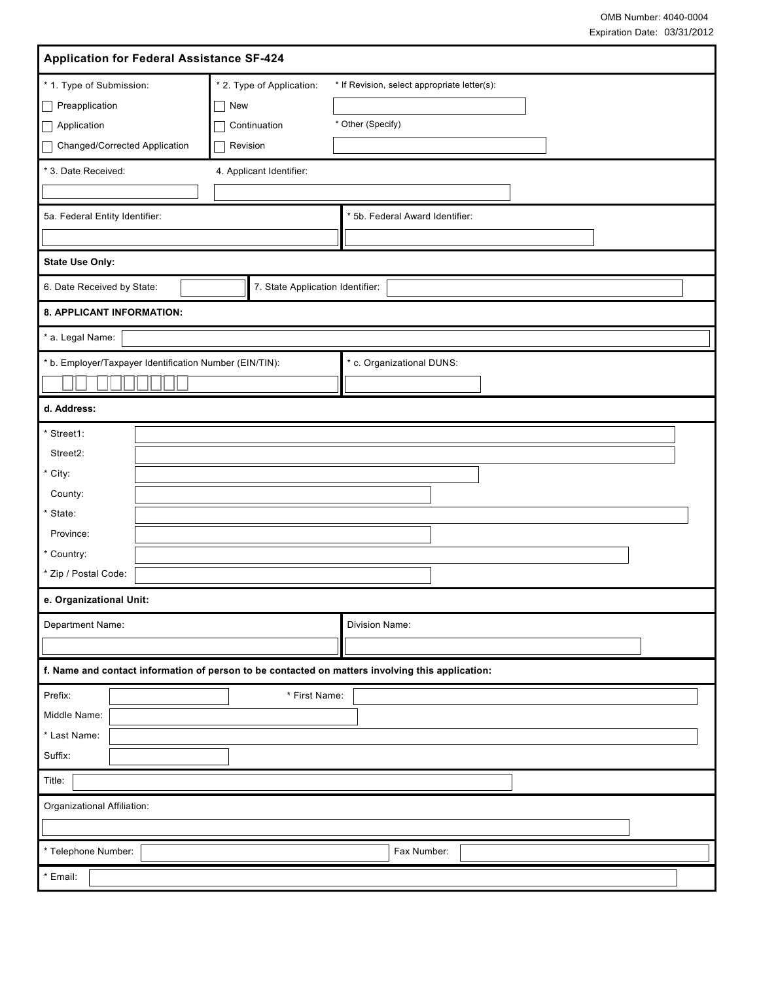| <b>Application for Federal Assistance SF-424</b>                                                                                                           |                                                                   |  |
|------------------------------------------------------------------------------------------------------------------------------------------------------------|-------------------------------------------------------------------|--|
| * 2. Type of Application:<br>* 1. Type of Submission:<br>Preapplication<br>New<br>Application<br>Continuation<br>Changed/Corrected Application<br>Revision | * If Revision, select appropriate letter(s):<br>* Other (Specify) |  |
| * 3. Date Received:<br>4. Applicant Identifier:                                                                                                            |                                                                   |  |
|                                                                                                                                                            |                                                                   |  |
| 5a. Federal Entity Identifier:                                                                                                                             | * 5b. Federal Award Identifier:                                   |  |
|                                                                                                                                                            |                                                                   |  |
| <b>State Use Only:</b>                                                                                                                                     |                                                                   |  |
| 6. Date Received by State:<br>7. State Application Identifier:                                                                                             |                                                                   |  |
| 8. APPLICANT INFORMATION:                                                                                                                                  |                                                                   |  |
| * a. Legal Name:                                                                                                                                           |                                                                   |  |
| * b. Employer/Taxpayer Identification Number (EIN/TIN):                                                                                                    | * c. Organizational DUNS:                                         |  |
|                                                                                                                                                            |                                                                   |  |
| d. Address:                                                                                                                                                |                                                                   |  |
| * Street1:                                                                                                                                                 |                                                                   |  |
| Street2:                                                                                                                                                   |                                                                   |  |
| * City:                                                                                                                                                    |                                                                   |  |
| County:                                                                                                                                                    |                                                                   |  |
| * State:                                                                                                                                                   |                                                                   |  |
| Province:                                                                                                                                                  |                                                                   |  |
| * Country:<br>* Zip / Postal Code:                                                                                                                         |                                                                   |  |
| e. Organizational Unit:                                                                                                                                    |                                                                   |  |
| Department Name:                                                                                                                                           | Division Name:                                                    |  |
|                                                                                                                                                            |                                                                   |  |
| f. Name and contact information of person to be contacted on matters involving this application:                                                           |                                                                   |  |
| Prefix:                                                                                                                                                    | * First Name:                                                     |  |
| Middle Name:                                                                                                                                               |                                                                   |  |
| * Last Name:                                                                                                                                               |                                                                   |  |
| Suffix:                                                                                                                                                    |                                                                   |  |
| Title:                                                                                                                                                     |                                                                   |  |
| Organizational Affiliation:                                                                                                                                |                                                                   |  |
| * Telephone Number:                                                                                                                                        | Fax Number:                                                       |  |
| $^{\star}$ Email:                                                                                                                                          |                                                                   |  |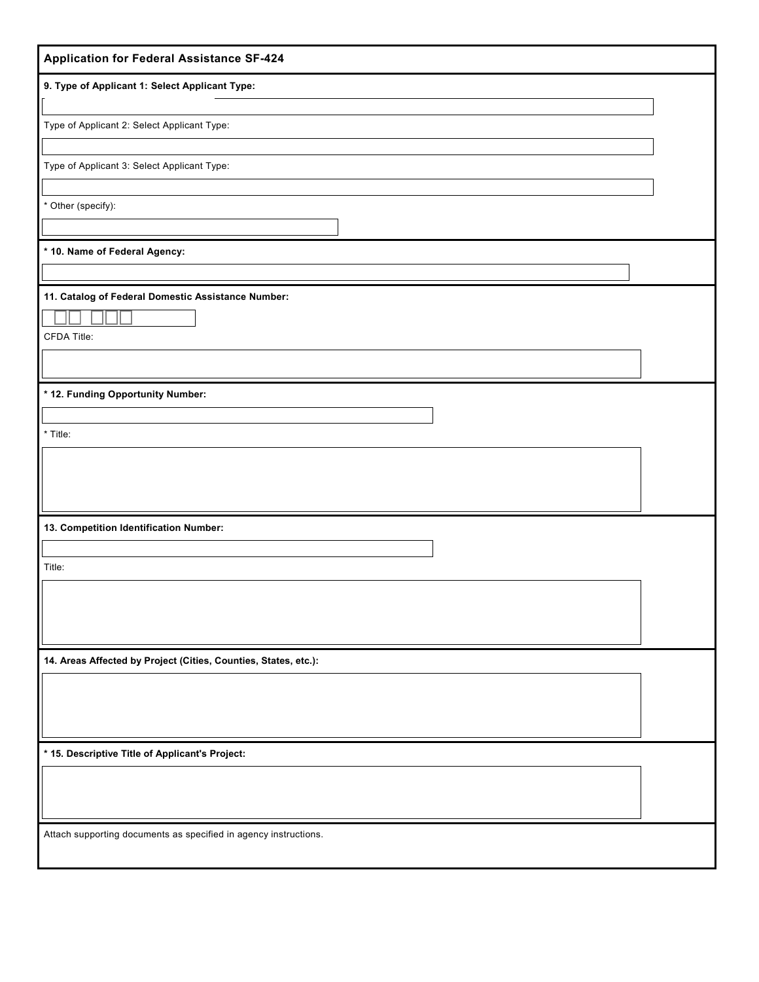| <b>Application for Federal Assistance SF-424</b>                 |  |  |
|------------------------------------------------------------------|--|--|
| 9. Type of Applicant 1: Select Applicant Type:                   |  |  |
| Type of Applicant 2: Select Applicant Type:                      |  |  |
|                                                                  |  |  |
| Type of Applicant 3: Select Applicant Type:                      |  |  |
| * Other (specify):                                               |  |  |
|                                                                  |  |  |
| * 10. Name of Federal Agency:                                    |  |  |
| 11. Catalog of Federal Domestic Assistance Number:               |  |  |
|                                                                  |  |  |
| CFDA Title:                                                      |  |  |
| * 12. Funding Opportunity Number:                                |  |  |
|                                                                  |  |  |
| * Title:                                                         |  |  |
|                                                                  |  |  |
|                                                                  |  |  |
| 13. Competition Identification Number:                           |  |  |
| Title:                                                           |  |  |
|                                                                  |  |  |
|                                                                  |  |  |
| 14. Areas Affected by Project (Cities, Counties, States, etc.):  |  |  |
|                                                                  |  |  |
|                                                                  |  |  |
|                                                                  |  |  |
| * 15. Descriptive Title of Applicant's Project:                  |  |  |
|                                                                  |  |  |
| Attach supporting documents as specified in agency instructions. |  |  |
|                                                                  |  |  |